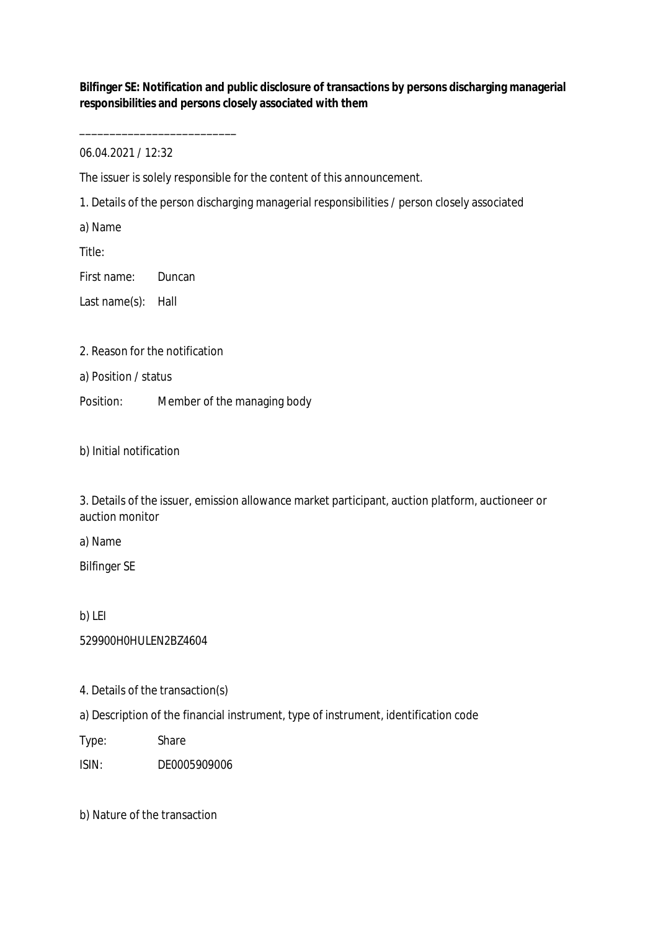**Bilfinger SE: Notification and public disclosure of transactions by persons discharging managerial responsibilities and persons closely associated with them**

06.04.2021 / 12:32

\_\_\_\_\_\_\_\_\_\_\_\_\_\_\_\_\_\_\_\_\_\_\_\_\_\_

The issuer is solely responsible for the content of this announcement.

1. Details of the person discharging managerial responsibilities / person closely associated

a) Name

Title:

First name: Duncan

Last name(s): Hall

2. Reason for the notification

a) Position / status

Position: Member of the managing body

b) Initial notification

3. Details of the issuer, emission allowance market participant, auction platform, auctioneer or auction monitor

a) Name

Bilfinger SE

b) LEI

529900H0HULEN2BZ4604

4. Details of the transaction(s)

a) Description of the financial instrument, type of instrument, identification code

Type: Share

ISIN: DE0005909006

b) Nature of the transaction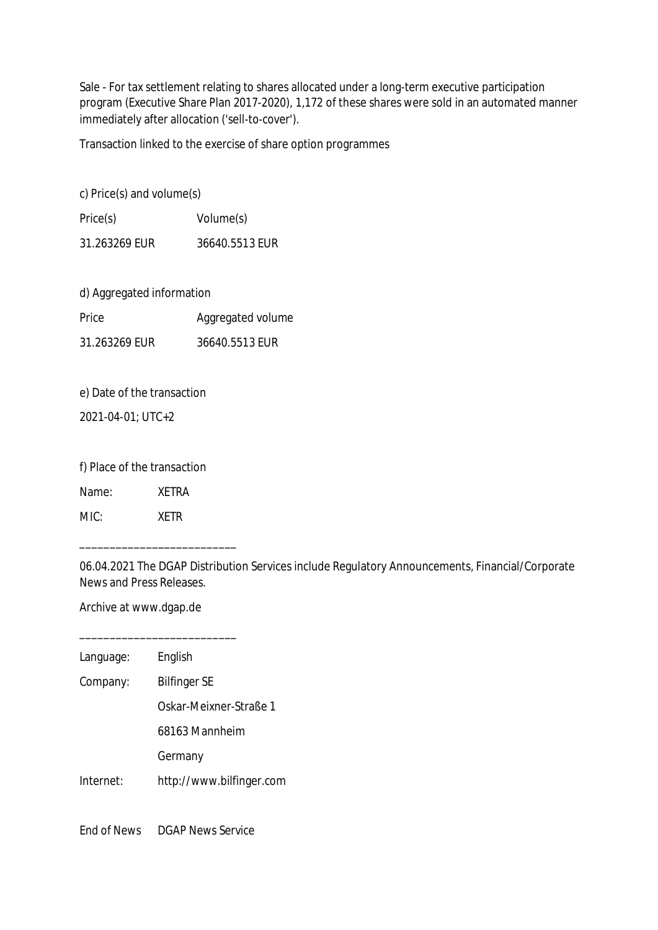Sale - For tax settlement relating to shares allocated under a long-term executive participation program (Executive Share Plan 2017-2020), 1,172 of these shares were sold in an automated manner immediately after allocation ('sell-to-cover').

Transaction linked to the exercise of share option programmes

c) Price(s) and volume(s)

Price(s) Volume(s) 31.263269 EUR 36640.5513 EUR

d) Aggregated information

| Price         | Aggregated volume |
|---------------|-------------------|
| 31.263269 EUR | 36640.5513 EUR    |

e) Date of the transaction

2021-04-01; UTC+2

f) Place of the transaction

Name: XETRA

MIC: XETR

06.04.2021 The DGAP Distribution Services include Regulatory Announcements, Financial/Corporate News and Press Releases.

Archive at www.dgap.de

\_\_\_\_\_\_\_\_\_\_\_\_\_\_\_\_\_\_\_\_\_\_\_\_\_\_

\_\_\_\_\_\_\_\_\_\_\_\_\_\_\_\_\_\_\_\_\_\_\_\_\_\_

Language: English

Company: Bilfinger SE

Oskar-Meixner-Straße 1

68163 Mannheim

Germany

Internet: http://www.bilfinger.com

End of News DGAP News Service